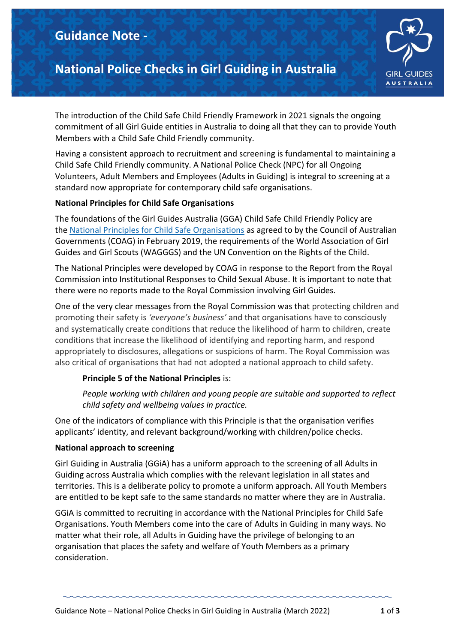## **Guidance Note -**

# **National Police Checks in Girl Guiding in Australia**



The introduction of the Child Safe Child Friendly Framework in 2021 signals the ongoing commitment of all Girl Guide entities in Australia to doing all that they can to provide Youth Members with a Child Safe Child Friendly community.

Having a consistent approach to recruitment and screening is fundamental to maintaining a Child Safe Child Friendly community. A National Police Check (NPC) for all Ongoing Volunteers, Adult Members and Employees (Adults in Guiding) is integral to screening at a standard now appropriate for contemporary child safe organisations.

#### **National Principles for Child Safe Organisations**

The foundations of the Girl Guides Australia (GGA) Child Safe Child Friendly Policy are the National Principles for Child Safe [Organisations](https://childsafe.humanrights.gov.au/national-principles) as agreed to by the Council of Australian Governments (COAG) in February 2019, the requirements of the World Association of Girl Guides and Girl Scouts (WAGGGS) and the UN Convention on the Rights of the Child.

The National Principles were developed by COAG in response to the Report from the Royal Commission into Institutional Responses to Child Sexual Abuse. It is important to note that there were no reports made to the Royal Commission involving Girl Guides.

One of the very clear messages from the Royal Commission was that protecting children and promoting their safety is *'everyone's business'* and that organisations have to consciously and systematically create conditions that reduce the likelihood of harm to children, create conditions that increase the likelihood of identifying and reporting harm, and respond appropriately to disclosures, allegations or suspicions of harm. The Royal Commission was also critical of organisations that had not adopted a national approach to child safety.

#### **Principle 5 of the National Principles** is:

*People working with children and young people are suitable and supported to reflect child safety and wellbeing values in practice.*

One of the indicators of compliance with this Principle is that the organisation verifies applicants' identity, and relevant background/working with children/police checks.

#### **National approach to screening**

Girl Guiding in Australia (GGiA) has a uniform approach to the screening of all Adults in Guiding across Australia which complies with the relevant legislation in all states and territories. This is a deliberate policy to promote a uniform approach. All Youth Members are entitled to be kept safe to the same standards no matter where they are in Australia.

GGiA is committed to recruiting in accordance with the National Principles for Child Safe Organisations. Youth Members come into the care of Adults in Guiding in many ways. No matter what their role, all Adults in Guiding have the privilege of belonging to an organisation that places the safety and welfare of Youth Members as a primary consideration.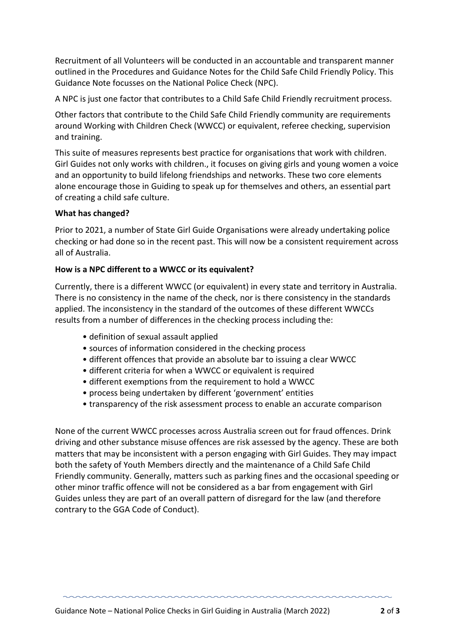Recruitment of all Volunteers will be conducted in an accountable and transparent manner outlined in the Procedures and Guidance Notes for the Child Safe Child Friendly Policy. This Guidance Note focusses on the National Police Check (NPC).

A NPC is just one factor that contributes to a Child Safe Child Friendly recruitment process.

Other factors that contribute to the Child Safe Child Friendly community are requirements around Working with Children Check (WWCC) or equivalent, referee checking, supervision and training.

This suite of measures represents best practice for organisations that work with children. Girl Guides not only works with children., it focuses on giving girls and young women a voice and an opportunity to build lifelong friendships and networks. These two core elements alone encourage those in Guiding to speak up for themselves and others, an essential part of creating a child safe culture.

## **What has changed?**

Prior to 2021, a number of State Girl Guide Organisations were already undertaking police checking or had done so in the recent past. This will now be a consistent requirement across all of Australia.

## **How is a NPC different to a WWCC or its equivalent?**

Currently, there is a different WWCC (or equivalent) in every state and territory in Australia. There is no consistency in the name of the check, nor is there consistency in the standards applied. The inconsistency in the standard of the outcomes of these different WWCCs results from a number of differences in the checking process including the:

- definition of sexual assault applied
- sources of information considered in the checking process
- different offences that provide an absolute bar to issuing a clear WWCC
- different criteria for when a WWCC or equivalent is required
- different exemptions from the requirement to hold a WWCC
- process being undertaken by different 'government' entities
- transparency of the risk assessment process to enable an accurate comparison

None of the current WWCC processes across Australia screen out for fraud offences. Drink driving and other substance misuse offences are risk assessed by the agency. These are both matters that may be inconsistent with a person engaging with Girl Guides. They may impact both the safety of Youth Members directly and the maintenance of a Child Safe Child Friendly community. Generally, matters such as parking fines and the occasional speeding or other minor traffic offence will not be considered as a bar from engagement with Girl Guides unless they are part of an overall pattern of disregard for the law (and therefore contrary to the GGA Code of Conduct).